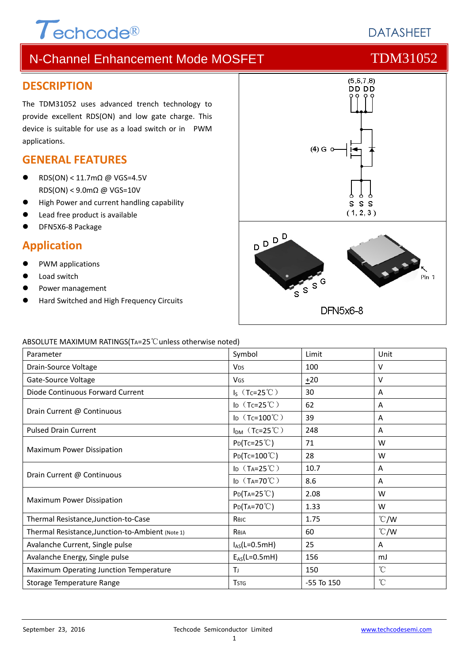# $\tau$ echcode®

# N-Channel Enhancement Mode MOSFET TOM31052

#### **DESCRIPTION**

The TDM31052 uses advanced trench technology to provide excellent RDS(ON) and low gate charge. This device is suitable for use as a load switch or in PWM applications.

### **GENERAL FEATURES**

- RDS(ON) < 11.7m $\Omega$  @ VGS=4.5V RDS(ON) < 9.0mΩ @ VGS=10V
- High Power and current handling capability
- Lead free product is available
- DFN5X6‐8 Package

### **Application**

- PWM applications
- Load switch
- Power management
- Hard Switched and High Frequency Circuits



ABSOLUTE MAXIMUM RATINGS(TA=25℃unless otherwise noted)

| Parameter                                        | Symbol                  | Limit          | Unit          |
|--------------------------------------------------|-------------------------|----------------|---------------|
| Drain-Source Voltage                             | <b>V<sub>DS</sub></b>   | 100            | v             |
| Gate-Source Voltage                              | <b>V<sub>GS</sub></b>   | ±20            | V             |
| Diode Continuous Forward Current                 | $I_S$ (Tc=25°C)         | 30             | Α             |
| Drain Current @ Continuous                       | ID $(Tc=25^{\circ}C)$   | 62             | A             |
|                                                  | ID $(Tc=100^{\circ}C)$  | 39             | A             |
| <b>Pulsed Drain Current</b>                      | $I_{DM}$ (Tc=25°C)      | 248            | A             |
|                                                  | $P_{D}(Tc=25^{\circ}C)$ | 71             | W             |
| Maximum Power Dissipation                        | $Po(Tc=100^{\circ}C)$   | 28             | W             |
| Drain Current @ Continuous                       | ID $(T_A=25^{\circ}C)$  | 10.7           | Α             |
|                                                  | ID $(T_A=70^{\circ}C)$  | 8.6            | Α             |
| Maximum Power Dissipation                        | $P_{D}(Ta=25^{\circ}C)$ | 2.08           | W             |
|                                                  | $P_{D}(Ta=70^{\circ}C)$ | 1.33           | W             |
| Thermal Resistance, Junction-to-Case             | Көлс                    | 1.75           | $\degree$ C/W |
| Thermal Resistance, Junction-to-Ambient (Note 1) | Reja                    | 60             | $\degree$ C/W |
| Avalanche Current, Single pulse                  | $I_{AS}(L=0.5mH)$       | 25             | Α             |
| Avalanche Energy, Single pulse                   | $E_{AS}(L=0.5mH)$       | 156            | mJ            |
| Maximum Operating Junction Temperature           | ΤJ                      | 150            | $^{\circ}$ C  |
| Storage Temperature Range                        | <b>TSTG</b>             | $-55$ To $150$ | $^{\circ}$ C  |

# **DATASHEET**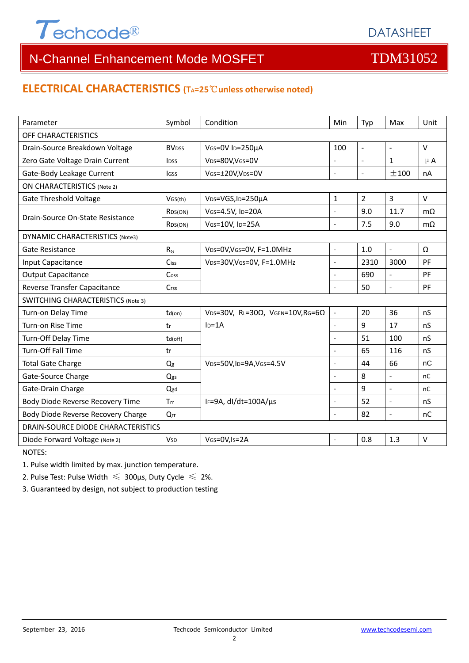

### **ELECTRICAL CHARACTERISTICS (TA=25**℃**unless otherwise noted)**

| Parameter                                 | Symbol                   | Condition                                         |                          | Typ            | Max                      | Unit         |  |  |
|-------------------------------------------|--------------------------|---------------------------------------------------|--------------------------|----------------|--------------------------|--------------|--|--|
| OFF CHARACTERISTICS                       |                          |                                                   |                          |                |                          |              |  |  |
| Drain-Source Breakdown Voltage            | <b>BV</b> <sub>DSS</sub> | 100<br>VGS=0V ID=250µA                            |                          | $\blacksquare$ | $\sim$                   | $\vee$       |  |  |
| Zero Gate Voltage Drain Current           | <b>l</b> <sub>DSS</sub>  | VDS=80V,VGS=0V<br>$\overline{a}$                  |                          | $\mathbf{r}$   | $\mathbf{1}$             | $\mu$ A      |  |  |
| Gate-Body Leakage Current                 | lgss                     | VGS=±20V,VDS=0V<br>$\Box$                         |                          | $\blacksquare$ | $+100$                   | nA           |  |  |
| <b>ON CHARACTERISTICS (Note 2)</b>        |                          |                                                   |                          |                |                          |              |  |  |
| Gate Threshold Voltage                    | VGS(th)                  | V <sub>DS</sub> =VGS, I <sub>D</sub> =250µA<br>1  |                          | $\overline{2}$ | 3                        | $\vee$       |  |  |
|                                           | R <sub>DS</sub> (ON)     | VGS=4.5V, ID=20A                                  | $\overline{a}$           | 9.0            | 11.7                     | $m\Omega$    |  |  |
| Drain-Source On-State Resistance          | R <sub>DS</sub> (ON)     | VGS=10V, ID=25A                                   | $\overline{a}$           | 7.5            | 9.0                      | $m\Omega$    |  |  |
| <b>DYNAMIC CHARACTERISTICS (Note3)</b>    |                          |                                                   |                          |                |                          |              |  |  |
| Gate Resistance                           | $R_G$                    | VDS=0V, VGS=0V, F=1.0MHz                          | $\blacksquare$           | 1.0            | $\omega$                 | Ω            |  |  |
| Input Capacitance                         | Ciss                     | VDS=30V, VGS=0V, F=1.0MHz                         | $\overline{a}$           | 2310           | 3000                     | PF           |  |  |
| <b>Output Capacitance</b>                 | Coss                     |                                                   |                          | 690            | $\blacksquare$           | PF           |  |  |
| Reverse Transfer Capacitance              | Crss                     |                                                   | L.                       | 50             | $\sim$                   | PF           |  |  |
| <b>SWITCHING CHARACTERISTICS (Note 3)</b> |                          |                                                   |                          |                |                          |              |  |  |
| Turn-on Delay Time                        | $td($ on $)$             | VDS=30V, RL=30 $\Omega$ , VGEN=10V, RG=6 $\Omega$ | $\frac{1}{2}$            | 20             | 36                       | nS           |  |  |
| Turn-on Rise Time                         | tr                       | $ID=1A$                                           | $\overline{a}$           | 9              | 17                       | nS           |  |  |
| Turn-Off Delay Time                       | td(off)                  |                                                   | $\overline{\phantom{a}}$ | 51             | 100                      | nS           |  |  |
| <b>Turn-Off Fall Time</b>                 | tf                       |                                                   |                          | 65             | 116                      | nS           |  |  |
| <b>Total Gate Charge</b>                  | Q <sub>g</sub>           | VDS=50V,ID=9A,VGS=4.5V                            | $\blacksquare$           | 44             | 66                       | nC           |  |  |
| Gate-Source Charge                        | Qgs                      |                                                   |                          | 8              | $\blacksquare$           | nC           |  |  |
| Gate-Drain Charge                         | Qgd                      |                                                   | $\overline{a}$           | 9              | $\overline{\phantom{a}}$ | nC           |  |  |
| Body Diode Reverse Recovery Time          | Trr                      | IF=9A, dl/dt=100A/µs                              | $\overline{\phantom{a}}$ | 52             | $\overline{\phantom{a}}$ | nS           |  |  |
| Body Diode Reverse Recovery Charge        | Qrr                      |                                                   | $\overline{\phantom{a}}$ | 82             | $\blacksquare$           | nC           |  |  |
| DRAIN-SOURCE DIODE CHARACTERISTICS        |                          |                                                   |                          |                |                          |              |  |  |
| Diode Forward Voltage (Note 2)            | <b>V<sub>SD</sub></b>    | VGS=0V, Is=2A                                     |                          | 0.8            | 1.3                      | $\mathsf{V}$ |  |  |

NOTES:

1. Pulse width limited by max. junction temperature.

2. Pulse Test: Pulse Width  $\leq 300$ μs, Duty Cycle  $\leq 2\%$ .

3. Guaranteed by design, not subject to production testing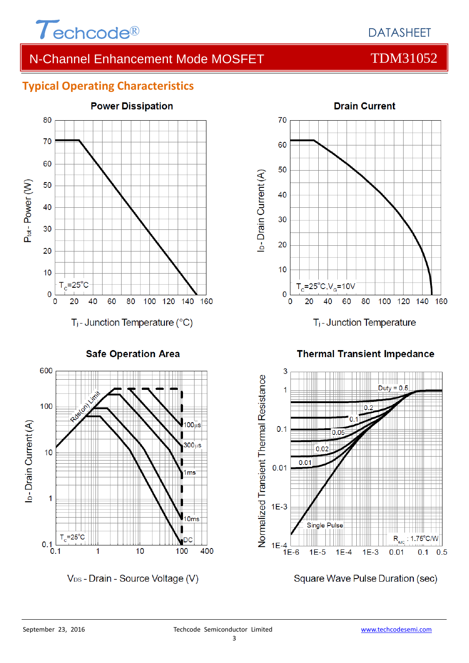

### **Typical Operating Characteristics**



**Safe Operation Area** 



V<sub>DS</sub> - Drain - Source Voltage (V)



**Thermal Transient Impedance** 



Square Wave Pulse Duration (sec)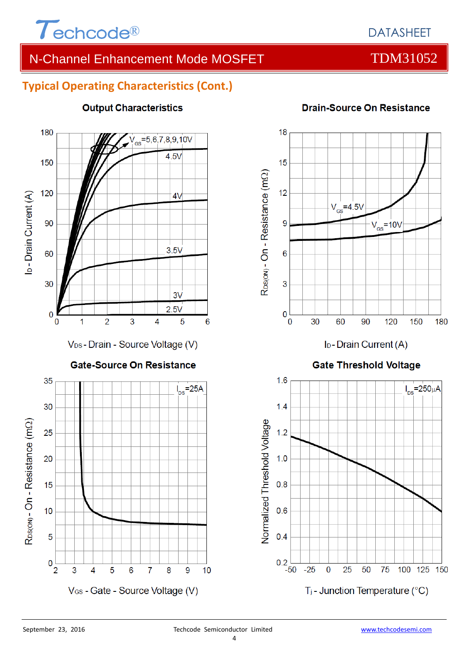

### **Typical Operating Characteristics (Cont.)**



#### **Output Characteristics**



### **Drain-Source On Resistance**



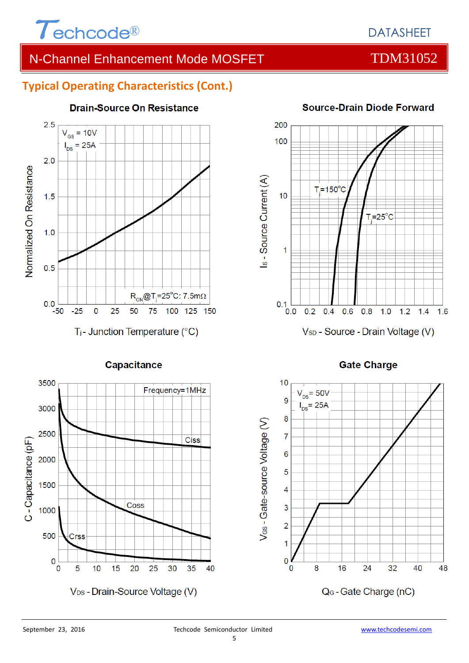

### **Typical Operating Characteristics (Cont.)**



### **Drain-Source On Resistance**



#### **Source-Drain Diode Forward**





Capacitance

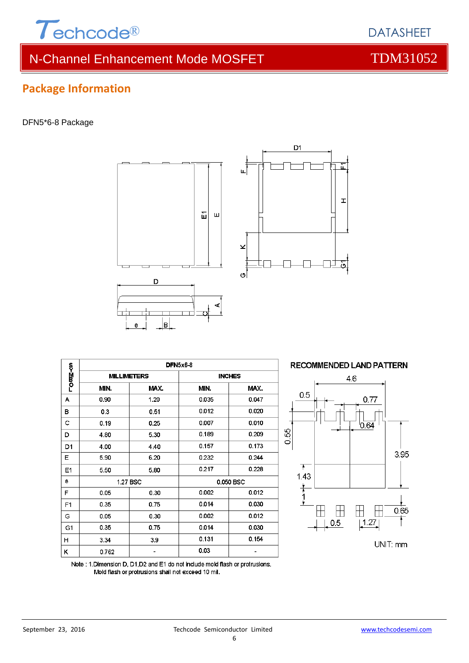

# **Package Information**

DFN5\*6-8 Package

|                |                 | в<br>е             | T             |       |  |  |  |  |  |
|----------------|-----------------|--------------------|---------------|-------|--|--|--|--|--|
|                |                 |                    |               |       |  |  |  |  |  |
| row_<%         | <b>DFN5x6-8</b> |                    |               |       |  |  |  |  |  |
|                |                 | <b>MILLIMETERS</b> | <b>INCHES</b> |       |  |  |  |  |  |
|                | MIN.            | MAX.               | MIN.          | MAX.  |  |  |  |  |  |
| А              | 0.90            | 1.20               | 0.035         | 0.047 |  |  |  |  |  |
| в              | 0.3             | 0.51               | 0.012         | 0.020 |  |  |  |  |  |
| C              | 0.19            | 0.25               | 0.007         | 0.010 |  |  |  |  |  |
| D              | 4.80            | 5.30               | 0.189         | 0.209 |  |  |  |  |  |
| D <sub>1</sub> | 4.00            | 4.40               | 0.157         | 0.173 |  |  |  |  |  |
| E              | 5.90            | 6.20               | 0.232         | 0.244 |  |  |  |  |  |
| E <sub>1</sub> | 5.50            | 5.80               | 0.217         | 0.228 |  |  |  |  |  |
| е              |                 | 1.27 BSC           | 0.050 BSC     |       |  |  |  |  |  |
| F              | 0.05            | 0.30               | 0.002         | 0.012 |  |  |  |  |  |
| F <sub>1</sub> | 0.35            | 0.75               | 0.014         | 0.030 |  |  |  |  |  |
| G              | 0.05            | 0.30               | 0.002         | 0.012 |  |  |  |  |  |
| G1             | 0.35            | 0.75               | 0.014         | 0.030 |  |  |  |  |  |
| н              | 3.34            | 3.9                | 0.131         | 0.154 |  |  |  |  |  |
| κ              | 0.762           |                    | 0.03          |       |  |  |  |  |  |

Note: 1.Dimension D, D1,D2 and E1 do not include mold flash or protrusions.

Mold flash or protrusions shall not exceed 10 mil.

D



Ш 피



**RECOMMENDED LAND PATTERN** 

## UNIT: mm